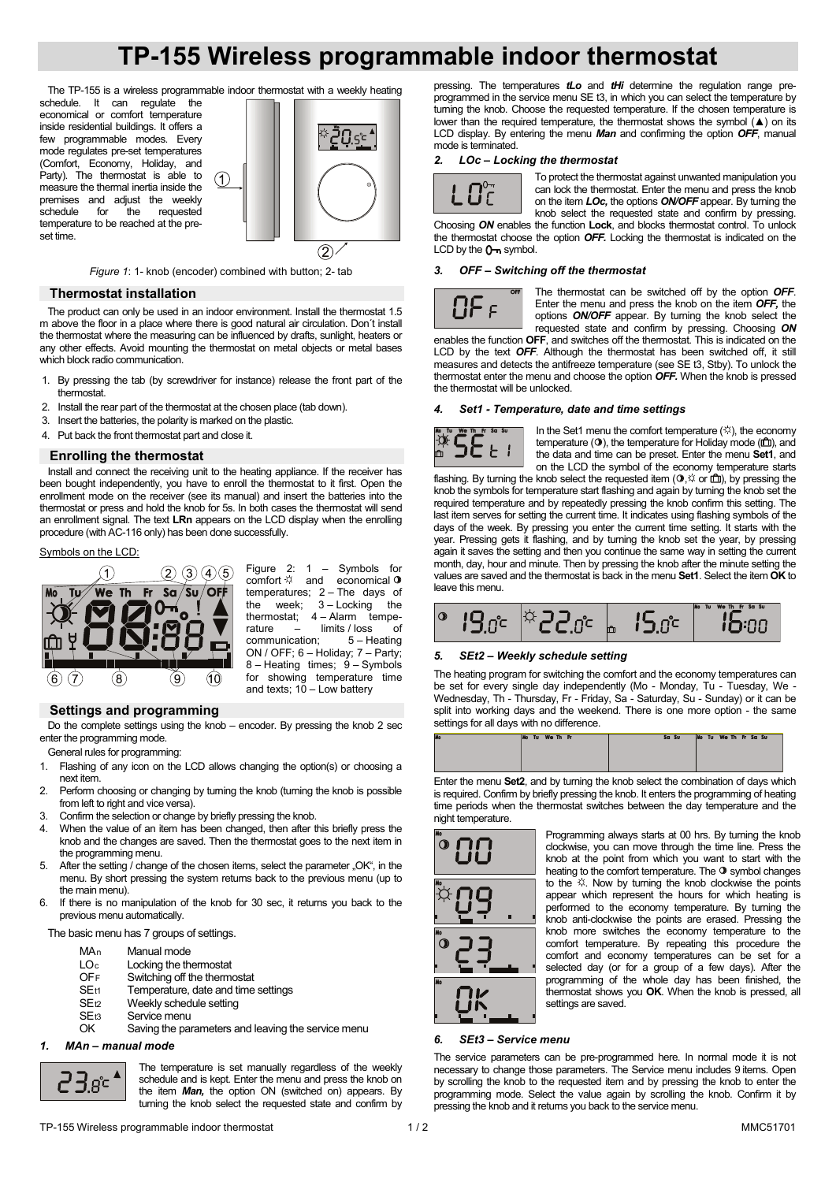# **TP-155 Wireless programmable indoor thermostat**

The TP-155 is a wireless programmable indoor thermostat with a weekly heating schedule. It can regulate the

economical or comfort temperature inside residential buildings. It offers a few programmable modes. Every mode regulates pre-set temperatures (Comfort, Economy, Holiday, and Party). The thermostat is able to measure the thermal inertia inside the premises and adjust the weekly<br>schedule for the requested schedule for the requested temperature to be reached at the preset time.



*Figure 1*: 1- knob (encoder) combined with button; 2- tab

∩

## **Thermostat installation**

The product can only be used in an indoor environment. Install the thermostat 1.5 m above the floor in a place where there is good natural air circulation. Don´t install the thermostat where the measuring can be influenced by drafts, sunlight, heaters or any other effects. Avoid mounting the thermostat on metal objects or metal bases which block radio communication.

- 1. By pressing the tab (by screwdriver for instance) release the front part of the thermostat.
- 2. Install the rear part of the thermostat at the chosen place (tab down).
- 3. Insert the batteries, the polarity is marked on the plastic.
- 4. Put back the front thermostat part and close it.

### **Enrolling the thermostat**

Install and connect the receiving unit to the heating appliance. If the receiver has been bought independently, you have to enroll the thermostat to it first. Open the enrollment mode on the receiver (see its manual) and insert the batteries into the thermostat or press and hold the knob for 5s. In both cases the thermostat will send an enrollment signal. The text **LRn** appears on the LCD display when the enrolling procedure (with AC-116 only) has been done successfully.

## Symbols on the LCD:



Figure 2: 1 – Symbols for comfort  $\heartsuit$  and economical temperatures; 2 – The days of the week; 3 – Locking the thermostat;  $4 -$ Alarm tempe-<br>rature  $-$  limits / loss of rature  $-$  limits / loss<br>communication:  $5 - H_0$  $5 -$  Heating ON / OFF; 6 – Holiday; 7 – Party; 8 – Heating times; 9 – Symbols for showing temperature time and texts;  $10 -$  Low battery

# **Settings and programming**

Do the complete settings using the knob – encoder. By pressing the knob 2 sec enter the programming mode.

General rules for programming:

- 1. Flashing of any icon on the LCD allows changing the option(s) or choosing a next item.
- 2. Perform choosing or changing by turning the knob (turning the knob is possible from left to right and vice versa).
- 3. Confirm the selection or change by briefly pressing the knob.
- 4. When the value of an item has been changed, then after this briefly press the knob and the changes are saved. Then the thermostat goes to the next item in the programming menu.
- 5. After the setting / change of the chosen items, select the parameter "OK", in the menu. By short pressing the system returns back to the previous menu (up to the main menu).
- 6. If there is no manipulation of the knob for 30 sec, it returns you back to the previous menu automatically.

The basic menu has 7 groups of settings.

- 
- $MA_n$  Manual mode<br>LO<sub>c</sub> Locking the th
- $LO<sub>c</sub>$  Locking the thermostat  $OFF$  Switching off the thermostat OFF Switching off the thermostat<br>SEt1 Temperature date and time
- $SE<sub>t1</sub>$  Temperature, date and time settings<br> $SE<sub>t2</sub>$  Meekly schedule setting
- SEt2 Weekly schedule setting<br>SEt3 Service menu
- Service menu
- OK Saving the parameters and leaving the service menu

## *1. MAn – manual mode*



The temperature is set manually regardless of the weekly schedule and is kept. Enter the menu and press the knob on the item *Man*, the option ON (switched on) appears. By turning the knob select the requested state and confirm by

pressing. The temperatures *tLo* and *tHi* determine the regulation range preprogrammed in the service menu SE t3, in which you can select the temperature by turning the knob. Choose the requested temperature. If the chosen temperature is lower than the required temperature, the thermostat shows the symbol  $(A)$  on its LCD display. By entering the menu *Man* and confirming the option *OFF*, manual mode is terminated.

## *2. LOc – Locking the thermostat*



To protect the thermostat against unwanted manipulation you can lock the thermostat. Enter the menu and press the knob on the item *LOc,* the options *ON/OFF* appear. By turning the

knob select the requested state and confirm by pressing. Choosing *ON* enables the function **Lock**, and blocks thermostat control. To unlock the thermostat choose the option *OFF.* Locking the thermostat is indicated on the LCD by the  $0-$  symbol.

# *3. OFF – Switching off the thermostat*



The thermostat can be switched off by the option *OFF*. Enter the menu and press the knob on the item *OFF,* the options *ON/OFF* appear. By turning the knob select the requested state and confirm by pressing. Choosing *ON*

enables the function **OFF**, and switches off the thermostat. This is indicated on the LCD by the text *OFF*. Although the thermostat has been switched off, it still measures and detects the antifreeze temperature (see SE t3, Stby). To unlock the thermostat enter the menu and choose the option *OFF.* When the knob is pressed the thermostat will be unlocked.

## *4. Set1 - Temperature, date and time settings*



In the Set1 menu the comfort temperature  $($ <sup> $\circ$ </sup> $)$ , the economy temperature  $(①)$ , the temperature for Holiday mode  $(①)$ , and the data and time can be preset. Enter the menu **Set1**, and on the LCD the symbol of the economy temperature starts

flashing. By turning the knob select the requested item ( $\Phi$ , $\varnothing$  or  $\hat{m}$ ), by pressing the knob the symbols for temperature start flashing and again by turning the knob set the required temperature and by repeatedly pressing the knob confirm this setting. The last item serves for setting the current time. It indicates using flashing symbols of the days of the week. By pressing you enter the current time setting. It starts with the year. Pressing gets it flashing, and by turning the knob set the year, by pressing again it saves the setting and then you continue the same way in setting the current month, day, hour and minute. Then by pressing the knob after the minute setting the values are saved and the thermostat is back in the menu **Set1**. Select the item **OK** to leave this menu.



#### *5. SEt2 – Weekly schedule setting*

The heating program for switching the comfort and the economy temperatures can be set for every single day independently (Mo - Monday, Tu - Tuesday, We - Wednesday, Th - Thursday, Fr - Friday, Sa - Saturday, Su - Sunday) or it can be split into working days and the weekend. There is one more option - the same settings for all days with no difference.

|  | Mo Tu We Th Fr |  | Sa Su |  | Mo Tu We Th Fr Sa Su |  |  |  |
|--|----------------|--|-------|--|----------------------|--|--|--|
|  |                |  |       |  |                      |  |  |  |
|  |                |  |       |  |                      |  |  |  |
|  |                |  |       |  |                      |  |  |  |

Enter the menu **Set2**, and by turning the knob select the combination of days which is required. Confirm by briefly pressing the knob. It enters the programming of heating time periods when the thermostat switches between the day temperature and the night temperature.



Programming always starts at 00 hrs. By turning the knob clockwise, you can move through the time line. Press the knob at the point from which you want to start with the heating to the comfort temperature. The  $\circledcirc$  symbol changes to the  $\%$ . Now by turning the knob clockwise the points appear which represent the hours for which heating is performed to the economy temperature. By turning the knob anti-clockwise the points are erased. Pressing the knob more switches the economy temperature to the comfort temperature. By repeating this procedure the comfort and economy temperatures can be set for a selected day (or for a group of a few days). After the programming of the whole day has been finished, the thermostat shows you **OK**. When the knob is pressed, all settings are saved.

#### *6. SEt3 – Service menu*

The service parameters can be pre-programmed here. In normal mode it is not necessary to change those parameters. The Service menu includes 9 items. Open by scrolling the knob to the requested item and by pressing the knob to enter the programming mode. Select the value again by scrolling the knob. Confirm it by pressing the knob and it returns you back to the service menu.